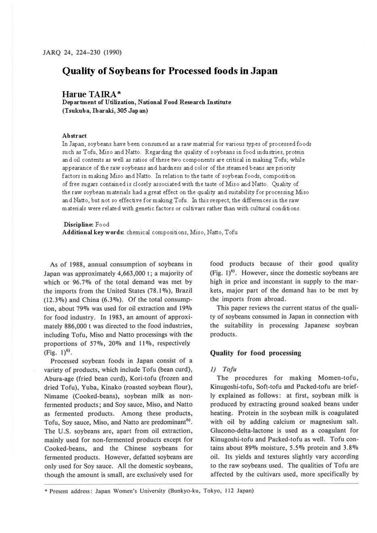# **Quality of Soybeans for Processed foods in Japan**

#### **Harue TAIRA\***

**Department of Utilization, National Food Research Institute (Tsukuba, lbaraki, 305 Japan)** 

#### **Abstract**

In Japan, soybeans have been consumed as a raw material for various types of processed foods such as Tofu, Miso and Natto. Regarding the quality of soybeans in food industries, protein and oil contents as well as ratios of these two components are critical in making Tofu; while appearance of the raw soybeans and hardness and color of the steamed beans are priority factors in making Miso and Natto. In relation to the taste of soybean foods, composition of free sugars contained is closely associated with the taste ofMiso and Natto. Quality of the raw soybean materials had a great effect on the quality and suitability for processing Miso and Natto, but not so effective for making Tofu. In this respect, the differences in the raw materials were related with genetic factors or cultivars rather than with cultural conditions.

#### **Discipline:** Food

**Additional keywords:** chemical compositions, Miso, Natto, Tofu

As of 1988, annual consumption of soybeans in Japan was approximately 4,663,000 t; a majority of which or 96.7% of the total demand was met by the imports from the United States (78.1%), Brazil  $(12.3\%)$  and China  $(6.3\%)$ . Of the total consumption, about 79% was used for oil extraction and 19% for food industry. In 1983, an amount of approximately 886,000 t was directed to the food industries, including Tofu, Miso and Natto processings with the proportions of 57%, 20% and 11%, respectively  $(Fig. 1)^{6}$ .

Processed soybean foods in Japan consist of a variety of products, which include Tofu (bean curd), Abura-age (fried bean curd), Kori-tofu (frozen and dried Tofu), Yuba, Kinako (roasted soybean flour), Nimame (Cooked-beans), soybean milk as nonfermented products; and Soy sauce, Miso, and Natto as fermented products. Among these products, Tofu, Soy sauce, Miso, and Natto are predominant<sup>6)</sup>. The U.S. soybeans are, apart from oil extraction, mainly used for non-fermented products except for Cooked-beans, and the Chinese soybeans for fermented products. However, defatted soybeans are only used for Soy sauce. All the domestic soybeans, though the amount is small, are exclusively used for food products because of their good quality (Fig.  $1)^{6}$ ). However, since the domestic soybeans are high in price and inconstant in supply to the markets, major part of the demand has to be met by the imports from abroad.

This paper reviews the current status of the quality of soybeans consumed in Japan in connection with the suitability in processing Japanese soybean products.

#### **Quality for food processing**

#### *I) Tofu*

The procedures for making Momen-tofu, Kinugoshi-tofu, Soft-tofu and Packed-tofu are briefly explained as follows: at first, soybean milk is produced by extracting ground soaked beans under heating. Protein in the soybean milk is coagulated with oil by adding calcium or magnesium salt. Glucono-delta-lactone is used as a coagulant for Kinugoshi-tofu and Packed-tofu as well. Tofu contains about 89% moisture, 5.5% protein and 3.8% oil. Its yields and textures slightly vary according to the raw soybeans used. The qualities of Tofu are affected by the cultivars used, more specifically by

• Present address: Japan Women's University (Bunkyo-ku, Tokyo, 112 Japan)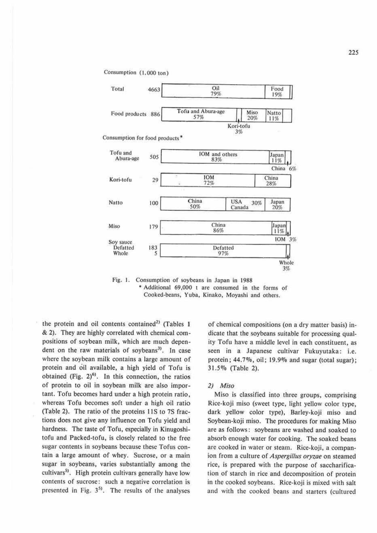Consumption (1,000 ton)



Consumption for food products<sup>\*</sup>





the protein and oil contents contained<sup>2)</sup> (Tables 1 & 2). They are highly correlated with chemical compositions of soybean milk, which are much dependent on the raw materials of soybeans<sup>3)</sup>. In case where the soybean milk contains a large amount of protein and oil available, a high yield of Tofu is obtained (Fig.  $2)^{6}$ ). In this connection, the ratios of protein to oil in soybean milk are also important. Tofu becomes hard under a high protein ratio, whereas Tofu becomes soft under a high oil ratio (Table 2). The ratio of the proteins 11S to 7S fractions does not give any influence on Tofu yield and hardness. The taste of Tofu, especially in Kinugoshitofu and Packed-tofu, is closely related to the free sugar contents in soybeans because these Tofus contain a large amount of whey. Sucrose, or a main sugar in soybeans, varies substantially among the cultivars<sup>5)</sup>. High protein cultivars generally have low contents of sucrose: such a negative correlation is presented in Fig. 3<sup>5)</sup>. The results of the analyses

of chemical compositions (on a dry matter basis) indicate that the soybeans suitable for processing quality Tofu have a middle level in each constituent, as seen in a Japanese cultivar Fukuyutaka: i.e. protein; 44.7%, oil; 19.9% and sugar (total sugar); 31.5% (Table 2).

#### 2) Miso

Miso is classified into three groups, comprising Rice-koji miso (sweet type, light yellow color type, dark yellow color type), Barley-koji miso and Soybean-koji miso. The procedures for making Miso are as follows: soybeans are washed and soaked to absorb enough water for cooking. The soaked beans are cooked in water or steam. Rice-koji, a companion from a culture of Aspergillus oryzae on steamed rice, is prepared with the purpose of saccharification of starch in rice and decomposition of protein in the cooked soybeans. Rice-koji is mixed with salt and with the cooked beans and starters (cultured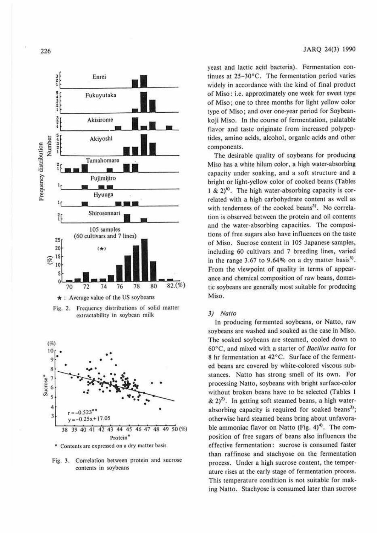



Fig. 2. Frequency distributions of solid matter extractability in soybean milk



\* Contents are expressed on a dry matter basis

Fig. 3. Correlation between protein and sucrose contems in soybeans

yeast and lactic acid bacteria). Fermentation continues at 25-30°C. The fermentation period varies widely in accordance with the kind of final product of Miso: i.e. approximately one week for sweet type or Miso; one to three months for light yellow color type of Miso; and over one-year period for Soybeankoji Miso. In the course of fermentation, palatable flavor and taste originate from increased polypeptides, amino acids, alcohol, organic acids and other components.

The desirable quality of soybeans for producing Miso has a white hilum color, a high water-absorbing capacity under soaking, and a soft structure and a bright or light-yellow color of cooked beans (Tables 1 & 2)<sup>6)</sup>. The high water-absorbing capacity is correlated with a high carbohydrate content as well as with tenderness of the cooked beans<sup>3)</sup>. No correlation is observed between the protein and oil contems and the water-absorbing capacities. The compositions of free sugars also have influences on the taste or Miso. Sucrose content in 105 Japanese samples, including 60 cultivars and 7 breeding lines, varied in the range  $3.67$  to  $9.64\%$  on a dry matter basis<sup>5)</sup>. From the viewpoint of quality in terms of appearance and chemical composition of raw beans, domestic soybeans are generally most suitable for producing Miso.

#### 3) **Natto**

In producing fermented soybeans, or Natto, raw soybeans are washed and soaked as the case in Miso. The soaked soybeans are steamed, cooled down to 60°C, and mixed with a starter of *Bacillus nauo* for 8 hr fermentation at 42°C. Surface of the fermented beans are covered by white-colored viscous substances. Natto has strong smell of its own. For processing Natto, soybeans with bright surface-color without broken beans have to be selected (Tables 1  $\&$  2)<sup>2)</sup>. In getting soft steamed beans, a high waterabsorbing capacity is required for soaked beans<sup>3)</sup>; otherwise hard steamed beans bring about unfavorable ammoniac flavor on Natto (Fig.  $4)$ <sup>4)</sup>. The composition of free sugars of beans also influences the effective fermentation: sucrose is consumed faster than raffinose and stachyose on the fermentation process. Under a high sucrose content, the temperature rises at the early stage of fermentation process. This temperature condition is not suitable for making Natto. Stachyose is consumed later than sucrose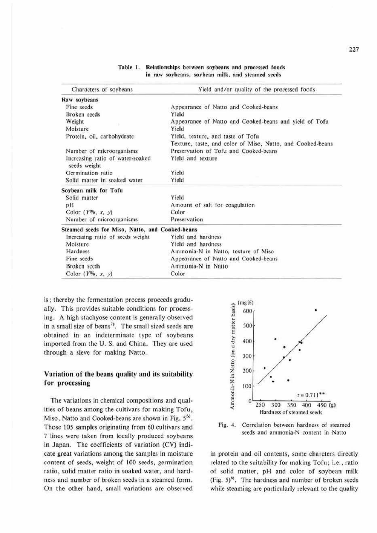| Characters of soybeans                           | Yield and/or quality of the processed foods                |  |  |  |  |  |  |
|--------------------------------------------------|------------------------------------------------------------|--|--|--|--|--|--|
| Raw soybeans                                     |                                                            |  |  |  |  |  |  |
| Fine seeds                                       | Appearance of Natto and Cooked-beans                       |  |  |  |  |  |  |
| Broken seeds                                     | Yield                                                      |  |  |  |  |  |  |
| Weight                                           | Appearance of Natto and Cooked-beans and yield of Tofu     |  |  |  |  |  |  |
| Moisture                                         | Yield                                                      |  |  |  |  |  |  |
| Protein, oil, carbohydrate                       | Yield, texture, and taste of Tofu                          |  |  |  |  |  |  |
|                                                  | Texture, taste, and color of Miso, Natto, and Cooked-beans |  |  |  |  |  |  |
| Number of microorganisms                         | Preservation of Tofu and Cooked-beans                      |  |  |  |  |  |  |
| Increasing ratio of water-soaked<br>seeds weight | Yield and texture                                          |  |  |  |  |  |  |
| Germination ratio                                | Yield                                                      |  |  |  |  |  |  |
| Solid matter in soaked water                     | Yield                                                      |  |  |  |  |  |  |
| Soybean milk for Tofu                            |                                                            |  |  |  |  |  |  |
| Solid matter                                     | Yield                                                      |  |  |  |  |  |  |
| pН                                               | Amount of salt for coagulation                             |  |  |  |  |  |  |
| Color $(Y\%$ , x, y)                             | Color                                                      |  |  |  |  |  |  |
| Number of microorganisms                         | Preservation                                               |  |  |  |  |  |  |
| Steamed seeds for Miso, Natto, and Cooked-beans  |                                                            |  |  |  |  |  |  |
| Increasing ratio of seeds weight                 | Yield and hardness                                         |  |  |  |  |  |  |
| Moisture                                         | Yield and hardness                                         |  |  |  |  |  |  |
| Hardness                                         | Ammonia-N in Natto, texture of Miso                        |  |  |  |  |  |  |
| Fine seeds                                       | Appearance of Natto and Cooked-beans                       |  |  |  |  |  |  |
| Broken seeds                                     | Ammonia-N in Natto                                         |  |  |  |  |  |  |
| Color $(Y\%$ , x, y)                             | Color                                                      |  |  |  |  |  |  |

Table 1. Relationships between soybeans and processed foods in **raw** soybeans:, soybean **milk,** and steamed seeds

is; thereby the fermentation process proceeds gradually. This provides suitable conditions for processing. A high stachyose content is generally observed in a small size of beans<sup>7</sup>. The small sized seeds are obtained in an indeterminate type of soybeans imported from the U. S. and China. They are used through a sieve for making Natto.

### **Variation of the beans quality and its suitability for processing**

The variations in chemical compositions and qualities of beans among the cultivars for making Tofu, Miso, Natto and Cooked-beans are shown in Fig.  $5^6$ . Those 105 samples originating from 60 cultivars and 7 lines were taken from locally produced soybeans in Japan. The coefficients of variation (CV) indicate great variations among the samples in moisture content of seeds, weight of 100 seeds, germination ratio, solid matter ratio in soaked water, and hardness and number of broken seeds in a steamed form. On the other hand, small variations are observed





in protein and oil contents, some charcters directly related to the suitability for making Tofu; i.e., ratio of solid matter, pH and color of soybean milk (Fig.  $5$ )<sup>6)</sup>. The hardness and number of broken seeds while steaming are particularly relevant to the quality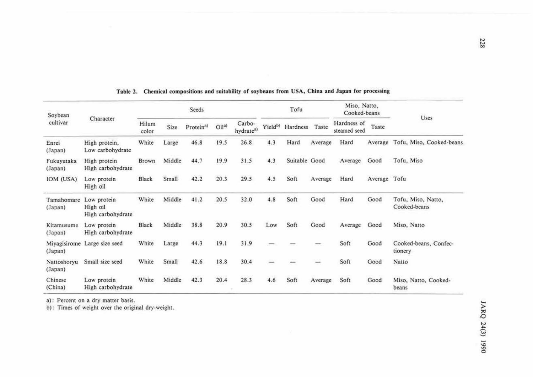| Soybean<br>cultivar     | Character                                    | Seeds          |        |                       |                   | Tofu                            |                     |               | Miso, Natto,<br>Cooked-beans |                             | Uses    |                                    |
|-------------------------|----------------------------------------------|----------------|--------|-----------------------|-------------------|---------------------------------|---------------------|---------------|------------------------------|-----------------------------|---------|------------------------------------|
|                         |                                              | Hilum<br>color | Size   | Protein <sup>a)</sup> | Oil <sup>a)</sup> | Carbo-<br>hydrate <sup>a)</sup> | Yield <sup>b)</sup> | Hardness      | Taste                        | Hardness of<br>steamed seed | Taste   |                                    |
| Enrei<br>(Japan)        | High protein,<br>Low carbohydrate            | White          | Large  | 46.8                  | 19.5              | 26.8                            | 4.3                 | Hard          | Average                      | Hard                        | Average | Tofu, Miso, Cooked-beans           |
| Fukuyutaka<br>(Japan)   | High protein<br>High carbohydrate            | Brown          | Middle | 44.7                  | 19.9              | 31.5                            | 4.3                 | Suitable Good |                              | Average                     | Good    | Tofu, Miso                         |
| IOM (USA)               | Low protein<br>High oil                      | Black          | Small  | 42.2                  | 20.3              | 29.5                            | 4.5                 | Soft          | Average                      | Hard                        | Average | Tofu                               |
| Tamahomare<br>(Japan)   | Low protein<br>High oil<br>High carbohydrate | White          | Middle | 41.2                  | 20.5              | 32.0                            | 4.8                 | Soft          | Good                         | Hard                        | Good    | Tofu, Miso, Natto,<br>Cooked-beans |
| Kitamusume<br>(Japan)   | Low protein<br>High carbohydrate             | <b>Black</b>   | Middle | 38.8                  | 20.9              | 30.5                            | Low                 | Soft          | Good                         | Average                     | Good    | Miso, Natto                        |
| Miyagisirome<br>(Japan) | Large size seed                              | White          | Large  | 44.3                  | 19.1              | 31.9                            |                     |               |                              | Soft                        | Good    | Cooked-beans, Confec-<br>tionery   |
| Nattoshoryu<br>(Japan)  | Small size seed                              | White          | Small  | 42.6                  | 18.8              | 30.4                            |                     |               |                              | Soft                        | Good    | Natto                              |
| Chinese<br>(China)      | Low protein<br>High carbohydrate             | White          | Middle | 42.3                  | 20.4              | 28.3                            | 4.6                 | Soft          | Average                      | Soft                        | Good    | Miso, Natto, Cooked-<br>beans      |

# Table 2. Chemical compositions and suitability of soybeans from USA, China and Japan for processing

a): Percent on a dry matter basis.<br>b): Times of weight over the original dry-weight.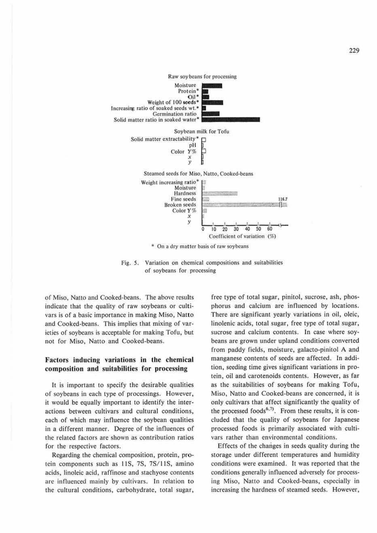

Fig. *S.* Variation on chemical compositions and suitabilities of soybeans for processing

of Miso, Natto and Cooked-beans. The above results indicate that the quality of raw soybeans or cullivars is of a basic importance in making Miso, Natto and Cooked-beans. This implies that mixing of varieties of soybeans is acceptable for making Tofu, but not for Miso, Natto and Cooked-beans.

## **Factors inducing variations in the chemical composition and suitabilities for processing**

lt is important to specify the desirable qualities of soybeans in each type of processings. However, it would be equally important to identify the interactions between cultivars and cultural conditions, each of which may influence the soybean qualities in a different manner. Degree of the influences of the related factors are shown as contribution ratios for the respective factors.

Regarding the chemical composition, protein, protein components such as 11S, 7S, 7S/11S, amino acids, linoleic acid, raffinose and stachyose contents arc influenced mainly by cultivars. In relation **lo**  the cultural conditions, carbohydrate, total sugar. free type of total sugar, pinitol, sucrose, ash. phosphorus and calcium are influenced by locations. There are significant yearly variations in oil, oleic, linolenic acids, total sugar, free type of total sugar, sucrose and calcium contents. In case where soybeans are grown under upland conditions converted from paddy fields, moisture, galacto-pinitol A and manganese contents of seeds are affected. In addition, seeding time gives significant variations in protein, oil and carotenoids contents. However, as far as the suitabilities of soybeans for making Tofu, Miso, Natto and Cooked-beans are concerned, it is only cultivars that affect significantly the quality of the processed foods<sup>6,7)</sup>. From these results, it is concluded that the quality of soybeans for Japanese processed foods is primarily associated with cultivars rather than environmental conditions.

Effects of the changes in seeds quality during the storage under different temperatures and humidity conditions were examined. It was reported that the conditions generally influenced adversely for processing Miso, Natto and Cooked-beans, especially in increasing the hardness of steamed seeds. However,